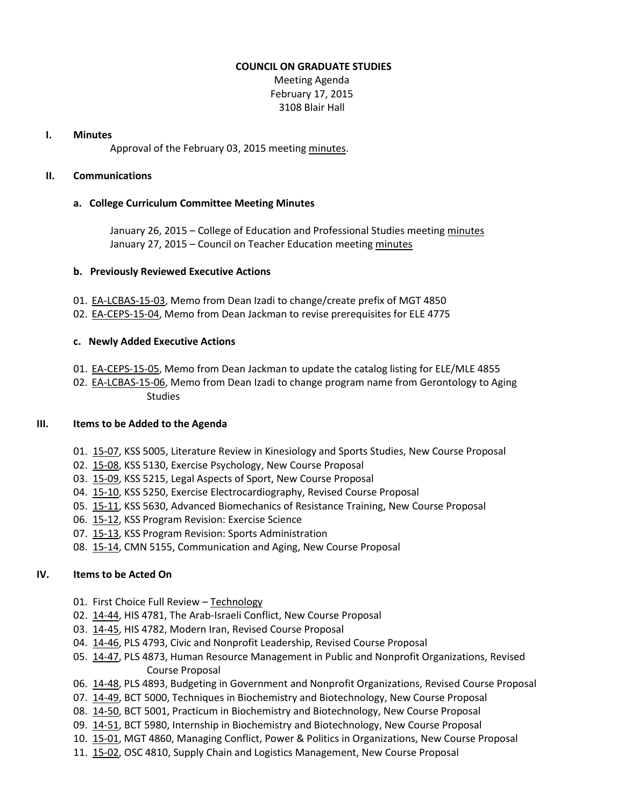#### **COUNCIL ON GRADUATE STUDIES**

Meeting Agenda February 17, 2015 3108 Blair Hall

#### **I. Minutes**

Approval of the February 03, 2015 meeting [minutes.](http://castle.eiu.edu/eiucgs/currentminutes/Minutes02-03-15.pdf)

#### **II. Communications**

## **a. College Curriculum Committee Meeting Minutes**

January 26, 2015 – College of Education and Professional Studies meeting [minutes](http://castle.eiu.edu/~eiucgs/currentagendaitems/CEPSMin01-26-15.pdf) January 27, 2015 – Council on Teacher Education meeting [minutes](http://castle.eiu.edu/~eiucgs/currentagendaitems/COTEMin01-27-15.pdf)

## **b. Previously Reviewed Executive Actions**

- 01. [EA-LCBAS-15-03,](http://castle.eiu.edu/~eiucgs/exec-actions/EA-LCBAS-15-03.pdf) Memo from Dean Izadi to change/create prefix of MGT 4850
- 02. [EA-CEPS-15-04,](http://castle.eiu.edu/~eiucgs/exec-actions/EA-CEPS-15-04.pdf) Memo from Dean Jackman to revise prerequisites for ELE 4775

## **c. Newly Added Executive Actions**

- 01. [EA-CEPS-15-05,](http://castle.eiu.edu/~eiucgs/exec-actions/EA-CEPS-15-05.pdf) Memo from Dean Jackman to update the catalog listing for ELE/MLE 4855
- 02. [EA-LCBAS-15-06,](http://castle.eiu.edu/~eiucgs/exec-actions/EA-LCBAS-15-06.pdf) Memo from Dean Izadi to change program name from Gerontology to Aging **Studies**

## **III. Items to be Added to the Agenda**

- 01. [15-07,](http://castle.eiu.edu/~eiucgs/currentagendaitems/agenda15-07.pdf) KSS 5005, Literature Review in Kinesiology and Sports Studies, New Course Proposal
- 02. [15-08,](http://castle.eiu.edu/~eiucgs/currentagendaitems/agenda15-08.pdf) KSS 5130, Exercise Psychology, New Course Proposal
- 03. [15-09,](http://castle.eiu.edu/~eiucgs/currentagendaitems/agenda15-09.pdf) KSS 5215, Legal Aspects of Sport, New Course Proposal
- 04. [15-10,](http://castle.eiu.edu/~eiucgs/currentagendaitems/agenda15-10.pdf) KSS 5250, Exercise Electrocardiography, Revised Course Proposal
- 05. [15-11,](http://castle.eiu.edu/~eiucgs/currentagendaitems/agenda15-11.pdf) KSS 5630, Advanced Biomechanics of Resistance Training, New Course Proposal
- 06. [15-12,](http://castle.eiu.edu/~eiucgs/currentagendaitems/agenda15-12.pdf) KSS Program Revision: Exercise Science
- 07. [15-13,](http://castle.eiu.edu/~eiucgs/currentagendaitems/agenda15-13.pdf) KSS Program Revision: Sports Administration
- 08. [15-14,](http://castle.eiu.edu/~eiucgs/currentagendaitems/agenda15-14.pdf) CMN 5155, Communication and Aging, New Course Proposal

# **IV. Items to be Acted On**

- 01. First Choice Full Review [Technology](http://castle.eiu.edu/~eiucgs/documents/TechnologyFirstChoiceReviewReport.pdf)
- 02. [14-44,](http://castle.eiu.edu/~eiucgs/currentagendaitems/agenda14-44.pdf) HIS 4781, The Arab-Israeli Conflict, New Course Proposal
- 03. [14-45,](http://castle.eiu.edu/~eiucgs/currentagendaitems/agenda14-45.pdf) HIS 4782, Modern Iran, Revised Course Proposal
- 04. [14-46,](http://castle.eiu.edu/~eiucgs/currentagendaitems/agenda14-46.pdf) PLS 4793, Civic and Nonprofit Leadership, Revised Course Proposal
- 05. [14-47,](http://castle.eiu.edu/~eiucgs/currentagendaitems/agenda14-47.pdf) PLS 4873, Human Resource Management in Public and Nonprofit Organizations, Revised Course Proposal
- 06. [14-48,](http://castle.eiu.edu/~eiucgs/currentagendaitems/agenda14-48.pdf) PLS 4893, Budgeting in Government and Nonprofit Organizations, Revised Course Proposal
- 07. [14-49,](http://castle.eiu.edu/~eiucgs/currentagendaitems/agenda14-49.pdf) BCT 5000, Techniques in Biochemistry and Biotechnology, New Course Proposal
- 08. [14-50,](http://castle.eiu.edu/~eiucgs/currentagendaitems/agenda14-50.pdf) BCT 5001, Practicum in Biochemistry and Biotechnology, New Course Proposal
- 09. [14-51,](http://castle.eiu.edu/~eiucgs/currentagendaitems/agenda14-51.pdf) BCT 5980, Internship in Biochemistry and Biotechnology, New Course Proposal
- 10. [15-01,](http://castle.eiu.edu/~eiucgs/currentagendaitems/agenda15-01.pdf) MGT 4860, Managing Conflict, Power & Politics in Organizations, New Course Proposal
- 11. [15-02,](http://castle.eiu.edu/~eiucgs/currentagendaitems/agenda15-02.pdf) OSC 4810, Supply Chain and Logistics Management, New Course Proposal